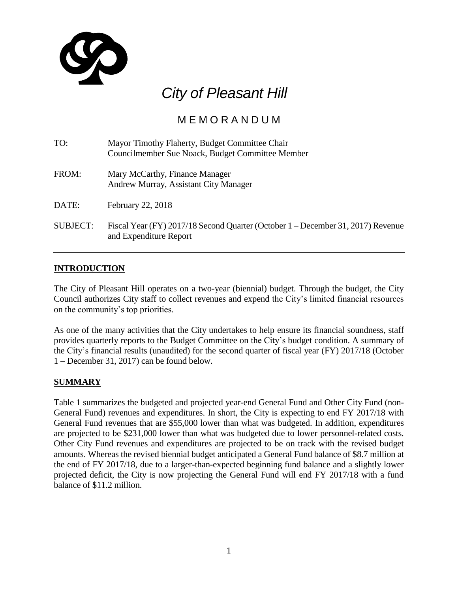

# *City of Pleasant Hill*

# M E M O R A N D U M

| TO:             | Mayor Timothy Flaherty, Budget Committee Chair<br>Councilmember Sue Noack, Budget Committee Member        |
|-----------------|-----------------------------------------------------------------------------------------------------------|
| FROM:           | Mary McCarthy, Finance Manager<br>Andrew Murray, Assistant City Manager                                   |
| DATE:           | February 22, 2018                                                                                         |
| <b>SUBJECT:</b> | Fiscal Year (FY) 2017/18 Second Quarter (October 1 – December 31, 2017) Revenue<br>and Expenditure Report |

## **INTRODUCTION**

The City of Pleasant Hill operates on a two-year (biennial) budget. Through the budget, the City Council authorizes City staff to collect revenues and expend the City's limited financial resources on the community's top priorities.

As one of the many activities that the City undertakes to help ensure its financial soundness, staff provides quarterly reports to the Budget Committee on the City's budget condition. A summary of the City's financial results (unaudited) for the second quarter of fiscal year (FY) 2017/18 (October 1 – December 31, 2017) can be found below.

#### **SUMMARY**

Table 1 summarizes the budgeted and projected year-end General Fund and Other City Fund (non-General Fund) revenues and expenditures. In short, the City is expecting to end FY 2017/18 with General Fund revenues that are \$55,000 lower than what was budgeted. In addition, expenditures are projected to be \$231,000 lower than what was budgeted due to lower personnel-related costs. Other City Fund revenues and expenditures are projected to be on track with the revised budget amounts. Whereas the revised biennial budget anticipated a General Fund balance of \$8.7 million at the end of FY 2017/18, due to a larger-than-expected beginning fund balance and a slightly lower projected deficit, the City is now projecting the General Fund will end FY 2017/18 with a fund balance of \$11.2 million.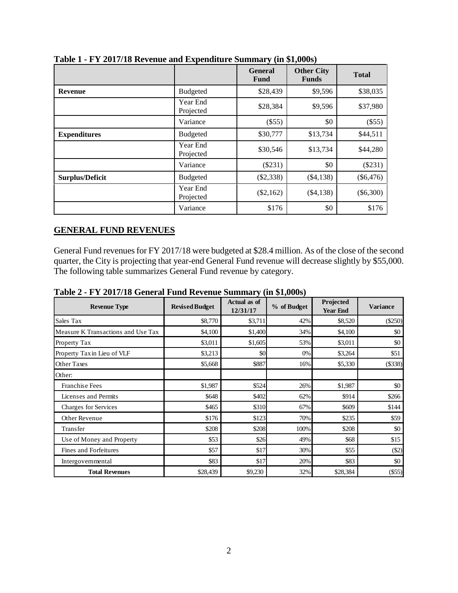|                        |                       | <b>General</b><br><b>Fund</b> | <b>Other City</b><br><b>Funds</b> | <b>Total</b> |
|------------------------|-----------------------|-------------------------------|-----------------------------------|--------------|
| <b>Revenue</b>         | <b>Budgeted</b>       | \$28,439                      | \$9,596                           | \$38,035     |
|                        | Year End<br>Projected | \$28,384                      | \$9,596                           | \$37,980     |
|                        | Variance              | (\$55)                        | \$0                               | $(\$55)$     |
| <b>Expenditures</b>    | <b>Budgeted</b>       | \$30,777                      | \$13,734                          | \$44,511     |
|                        | Year End<br>Projected | \$30,546                      | \$13,734                          | \$44,280     |
|                        | Variance              | $(\$231)$                     | \$0                               | $(\$231)$    |
| <b>Surplus/Deficit</b> | <b>Budgeted</b>       | $(\$2,338)$                   | $(\$4,138)$                       | $(\$6,476)$  |
|                        | Year End<br>Projected | $(\$2,162)$                   | $(\$4,138)$                       | $(\$6,300)$  |
|                        | Variance              | \$176                         | \$0                               | \$176        |

**Table 1 - FY 2017/18 Revenue and Expenditure Summary (in \$1,000s)**

#### **GENERAL FUND REVENUES**

General Fund revenues for FY 2017/18 were budgeted at \$28.4 million. As of the close of the second quarter, the City is projecting that year-end General Fund revenue will decrease slightly by \$55,000. The following table summarizes General Fund revenue by category.

| <b>Revenue Type</b>                | <b>Revised Budget</b> | <b>Actual as of</b><br>12/31/17 | % of Budget | Projected<br><b>Year End</b> | <b>Variance</b> |
|------------------------------------|-----------------------|---------------------------------|-------------|------------------------------|-----------------|
| Sales Tax                          | \$8,770               | \$3,711                         | 42%         | \$8,520                      | $(\$250)$       |
| Measure K Transactions and Use Tax | \$4,100               | \$1,400                         | 34%         | \$4,100                      | \$0             |
| Property Tax                       | \$3,011               | \$1,605                         | 53%         | \$3,011                      | \$0             |
| Property Tax in Lieu of VLF        | \$3,213               | \$0                             | 0%          | \$3,264                      | \$51            |
| <b>Other Taxes</b>                 | \$5,668               | \$887                           | 16%         | \$5,330                      | $($ \$338)      |
| Other:                             |                       |                                 |             |                              |                 |
| <b>Franchise Fees</b>              | \$1,987               | \$524                           | 26%         | \$1,987                      | \$0             |
| Licenses and Permits               | \$648                 | \$402                           | 62%         | \$914                        | \$266           |
| Charges for Services               | \$465                 | \$310                           | 67%         | \$609                        | \$144           |
| Other Revenue                      | \$176                 | \$123                           | 70%         | \$235                        | \$59            |
| Transfer                           | \$208                 | \$208                           | 100%        | \$208                        | \$0             |
| Use of Money and Property          | \$53                  | \$26                            | 49%         | \$68                         | \$15            |
| Fines and Forfeitures              | \$57                  | \$17                            | 30%         | \$55                         | (S2)            |
| Intergovernmental                  | \$83                  | \$17                            | 20%         | \$83                         | \$0             |
| <b>Total Revenues</b>              | \$28,439              | \$9,230                         | 32%         | \$28,384                     | $(\$55)$        |

**Table 2 - FY 2017/18 General Fund Revenue Summary (in \$1,000s)**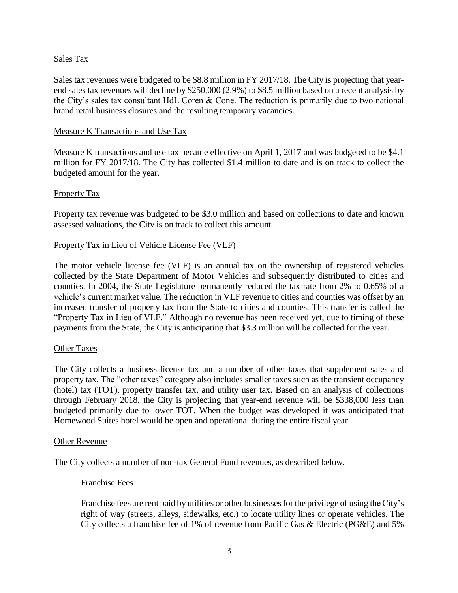#### Sales Tax

Sales tax revenues were budgeted to be \$8.8 million in FY 2017/18. The City is projecting that yearend sales tax revenues will decline by \$250,000 (2.9%) to \$8.5 million based on a recent analysis by the City's sales tax consultant HdL Coren & Cone. The reduction is primarily due to two national brand retail business closures and the resulting temporary vacancies.

#### Measure K Transactions and Use Tax

Measure K transactions and use tax became effective on April 1, 2017 and was budgeted to be \$4.1 million for FY 2017/18. The City has collected \$1.4 million to date and is on track to collect the budgeted amount for the year.

#### Property Tax

Property tax revenue was budgeted to be \$3.0 million and based on collections to date and known assessed valuations, the City is on track to collect this amount.

#### Property Tax in Lieu of Vehicle License Fee (VLF)

The motor vehicle license fee (VLF) is an annual tax on the ownership of registered vehicles collected by the State Department of Motor Vehicles and subsequently distributed to cities and counties. In 2004, the State Legislature permanently reduced the tax rate from 2% to 0.65% of a vehicle's current market value. The reduction in VLF revenue to cities and counties was offset by an increased transfer of property tax from the State to cities and counties. This transfer is called the "Property Tax in Lieu of VLF." Although no revenue has been received yet, due to timing of these payments from the State, the City is anticipating that \$3.3 million will be collected for the year.

#### Other Taxes

The City collects a business license tax and a number of other taxes that supplement sales and property tax. The "other taxes" category also includes smaller taxes such as the transient occupancy (hotel) tax (TOT), property transfer tax, and utility user tax. Based on an analysis of collections through February 2018, the City is projecting that year-end revenue will be \$338,000 less than budgeted primarily due to lower TOT. When the budget was developed it was anticipated that Homewood Suites hotel would be open and operational during the entire fiscal year.

#### Other Revenue

The City collects a number of non-tax General Fund revenues, as described below.

#### Franchise Fees

Franchise fees are rent paid by utilities or other businesses for the privilege of using the City's right of way (streets, alleys, sidewalks, etc.) to locate utility lines or operate vehicles. The City collects a franchise fee of 1% of revenue from Pacific Gas & Electric (PG&E) and 5%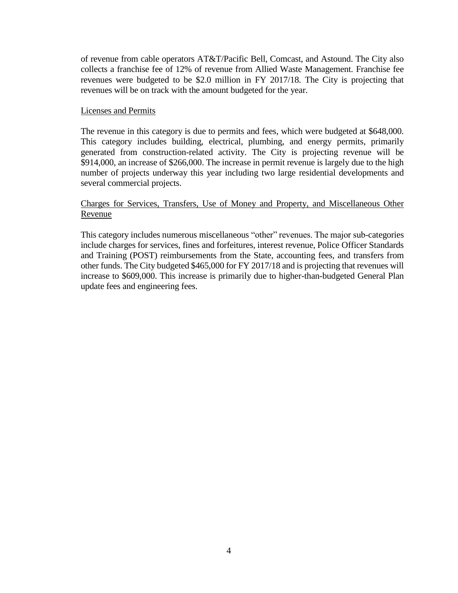of revenue from cable operators AT&T/Pacific Bell, Comcast, and Astound. The City also collects a franchise fee of 12% of revenue from Allied Waste Management. Franchise fee revenues were budgeted to be \$2.0 million in FY 2017/18. The City is projecting that revenues will be on track with the amount budgeted for the year.

#### Licenses and Permits

The revenue in this category is due to permits and fees, which were budgeted at \$648,000. This category includes building, electrical, plumbing, and energy permits, primarily generated from construction-related activity. The City is projecting revenue will be \$914,000, an increase of \$266,000. The increase in permit revenue is largely due to the high number of projects underway this year including two large residential developments and several commercial projects.

#### Charges for Services, Transfers, Use of Money and Property, and Miscellaneous Other Revenue

This category includes numerous miscellaneous "other" revenues. The major sub-categories include charges for services, fines and forfeitures, interest revenue, Police Officer Standards and Training (POST) reimbursements from the State, accounting fees, and transfers from other funds. The City budgeted \$465,000 for FY 2017/18 and is projecting that revenues will increase to \$609,000. This increase is primarily due to higher-than-budgeted General Plan update fees and engineering fees.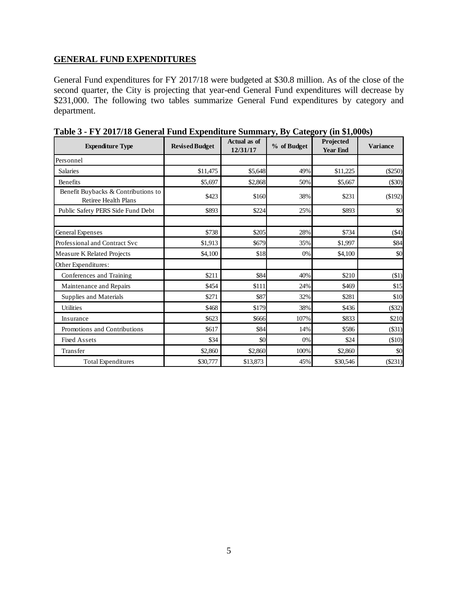#### **GENERAL FUND EXPENDITURES**

General Fund expenditures for FY 2017/18 were budgeted at \$30.8 million. As of the close of the second quarter, the City is projecting that year-end General Fund expenditures will decrease by \$231,000. The following two tables summarize General Fund expenditures by category and department.

| <b>Expenditure Type</b>                                            | <b>Revised Budget</b> | <b>Actual</b> as of<br>12/31/17 | % of Budget | Projected<br><b>Year End</b> | <b>Variance</b> |
|--------------------------------------------------------------------|-----------------------|---------------------------------|-------------|------------------------------|-----------------|
| Personnel                                                          |                       |                                 |             |                              |                 |
| <b>Salaries</b>                                                    | \$11,475              | \$5,648                         | 49%         | \$11,225                     | (\$250)         |
| <b>Benefits</b>                                                    | \$5,697               | \$2,868                         | 50%         | \$5,667                      | ( \$30)         |
| Benefit Buybacks & Contributions to<br><b>Retiree Health Plans</b> | \$423                 | \$160                           | 38%         | \$231                        | (\$192)         |
| Public Safety PERS Side Fund Debt                                  | \$893                 | \$224                           | 25%         | \$893                        | \$0             |
| General Expenses                                                   | \$738                 | \$205                           | 28%         | \$734                        | ( \$4)          |
| Professional and Contract Svc                                      | \$1,913               | \$679                           | 35%         | \$1,997                      | \$84            |
| Measure K Related Projects                                         | \$4,100               | \$18                            | 0%          | \$4,100                      | \$0             |
| Other Expenditures:                                                |                       |                                 |             |                              |                 |
| Conferences and Training                                           | \$211                 | \$84                            | 40%         | \$210                        | $(\$1)$         |
| Maintenance and Repairs                                            | \$454                 | \$111                           | 24%         | \$469                        | \$15            |
| Supplies and Materials                                             | \$271                 | \$87                            | 32%         | \$281                        | \$10            |
| <b>Utilities</b>                                                   | \$468                 | \$179                           | 38%         | \$436                        | ( \$32)         |
| Insurance                                                          | \$623                 | \$666                           | 107%        | \$833                        | \$210           |
| Promotions and Contributions                                       | \$617                 | \$84                            | 14%         | \$586                        | $($ \$31)       |
| <b>Fixed Assets</b>                                                | \$34                  | \$0                             | 0%          | \$24                         | (\$10)          |
| Transfer                                                           | \$2,860               | \$2,860                         | 100%        | \$2,860                      | \$0             |
| <b>Total Expenditures</b>                                          | \$30,777              | \$13,873                        | 45%         | \$30,546                     | (\$231)         |

**Table 3 - FY 2017/18 General Fund Expenditure Summary, By Category (in \$1,000s)**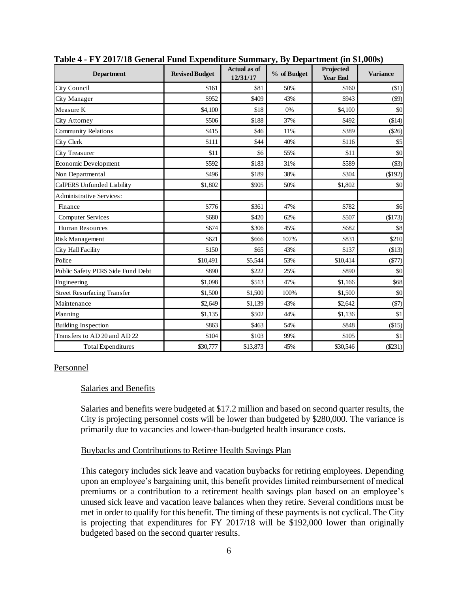| <b>Department</b>                  | <b>Revised Budget</b> | Actual as of<br>12/31/17 | % of Budget | Projected<br><b>Year End</b> | <b>Variance</b> |
|------------------------------------|-----------------------|--------------------------|-------------|------------------------------|-----------------|
| City Council                       | \$161                 | \$81                     | 50%         | \$160                        | $(\$1)$         |
| City Manager                       | \$952                 | \$409                    | 43%         | \$943                        | $(\$9)$         |
| Measure K                          | \$4,100               | \$18                     | 0%          | \$4,100                      | \$0             |
| City Attorney                      | \$506                 | \$188                    | 37%         | \$492                        | \$14)           |
| <b>Community Relations</b>         | \$415                 | \$46                     | 11%         | \$389                        | (\$26)          |
| City Clerk                         | \$111                 | \$44                     | 40%         | \$116                        | \$5             |
| City Treasurer                     | \$11                  | \$6                      | 55%         | \$11                         | \$0             |
| Economic Development               | \$592                 | \$183                    | 31%         | \$589                        | $($ \$3)        |
| Non Departmental                   | \$496                 | \$189                    | 38%         | \$304                        | (\$192)         |
| CalPERS Unfunded Liability         | \$1,802               | \$905                    | 50%         | \$1,802                      | \$0             |
| Administrative Services:           |                       |                          |             |                              |                 |
| Finance                            | \$776                 | \$361                    | 47%         | \$782                        | \$6             |
| <b>Computer Services</b>           | \$680                 | \$420                    | 62%         | \$507                        | \$173)          |
| <b>Human Resources</b>             | \$674                 | \$306                    | 45%         | \$682                        | \$8             |
| Risk Management                    | \$621                 | \$666                    | 107%        | \$831                        | \$210           |
| City Hall Facility                 | \$150                 | \$65                     | 43%         | \$137                        | (\$13)          |
| Police                             | \$10,491              | \$5,544                  | 53%         | \$10,414                     | (\$77)          |
| Public Safety PERS Side Fund Debt  | \$890                 | \$222                    | 25%         | \$890                        | \$0             |
| Engineering                        | \$1,098               | \$513                    | 47%         | \$1,166                      | \$68            |
| <b>Street Resurfacing Transfer</b> | \$1,500               | \$1,500                  | 100%        | \$1,500                      | \$0             |
| Maintenance                        | \$2,649               | \$1,139                  | 43%         | \$2,642                      | (\$7)           |
| Planning                           | \$1.135               | \$502                    | 44%         | \$1,136                      | \$1             |
| <b>Building Inspection</b>         | \$863                 | \$463                    | 54%         | \$848                        | (\$15)          |
| Transfers to AD 20 and AD 22       | \$104                 | \$103                    | 99%         | \$105                        | \$1             |
| <b>Total Expenditures</b>          | \$30,777              | \$13,873                 | 45%         | \$30,546                     | (\$231)         |

**Table 4 - FY 2017/18 General Fund Expenditure Summary, By Department (in \$1,000s)**

#### Personnel

#### Salaries and Benefits

Salaries and benefits were budgeted at \$17.2 million and based on second quarter results, the City is projecting personnel costs will be lower than budgeted by \$280,000. The variance is primarily due to vacancies and lower-than-budgeted health insurance costs.

#### Buybacks and Contributions to Retiree Health Savings Plan

This category includes sick leave and vacation buybacks for retiring employees. Depending upon an employee's bargaining unit, this benefit provides limited reimbursement of medical premiums or a contribution to a retirement health savings plan based on an employee's unused sick leave and vacation leave balances when they retire. Several conditions must be met in order to qualify for this benefit. The timing of these payments is not cyclical. The City is projecting that expenditures for FY 2017/18 will be \$192,000 lower than originally budgeted based on the second quarter results.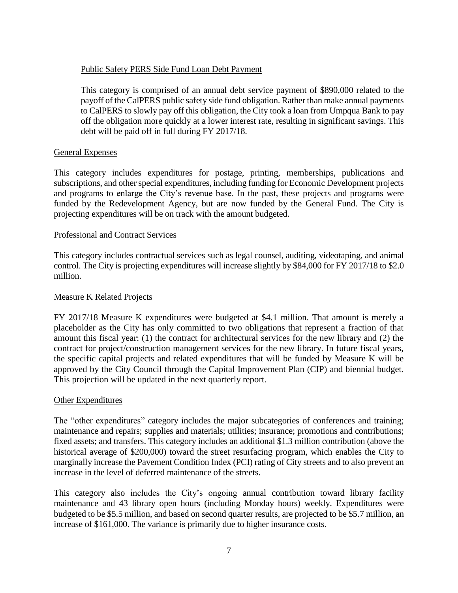#### Public Safety PERS Side Fund Loan Debt Payment

This category is comprised of an annual debt service payment of \$890,000 related to the payoff of the CalPERS public safety side fund obligation. Rather than make annual payments to CalPERS to slowly pay off this obligation, the City took a loan from Umpqua Bank to pay off the obligation more quickly at a lower interest rate, resulting in significant savings. This debt will be paid off in full during FY 2017/18.

#### General Expenses

This category includes expenditures for postage, printing, memberships, publications and subscriptions, and other special expenditures, including funding for Economic Development projects and programs to enlarge the City's revenue base. In the past, these projects and programs were funded by the Redevelopment Agency, but are now funded by the General Fund. The City is projecting expenditures will be on track with the amount budgeted.

#### Professional and Contract Services

This category includes contractual services such as legal counsel, auditing, videotaping, and animal control. The City is projecting expenditures will increase slightly by \$84,000 for FY 2017/18 to \$2.0 million.

#### Measure K Related Projects

FY 2017/18 Measure K expenditures were budgeted at \$4.1 million. That amount is merely a placeholder as the City has only committed to two obligations that represent a fraction of that amount this fiscal year: (1) the contract for architectural services for the new library and (2) the contract for project/construction management services for the new library. In future fiscal years, the specific capital projects and related expenditures that will be funded by Measure K will be approved by the City Council through the Capital Improvement Plan (CIP) and biennial budget. This projection will be updated in the next quarterly report.

#### Other Expenditures

The "other expenditures" category includes the major subcategories of conferences and training; maintenance and repairs; supplies and materials; utilities; insurance; promotions and contributions; fixed assets; and transfers. This category includes an additional \$1.3 million contribution (above the historical average of \$200,000) toward the street resurfacing program, which enables the City to marginally increase the Pavement Condition Index (PCI) rating of City streets and to also prevent an increase in the level of deferred maintenance of the streets.

This category also includes the City's ongoing annual contribution toward library facility maintenance and 43 library open hours (including Monday hours) weekly. Expenditures were budgeted to be \$5.5 million, and based on second quarter results, are projected to be \$5.7 million, an increase of \$161,000. The variance is primarily due to higher insurance costs.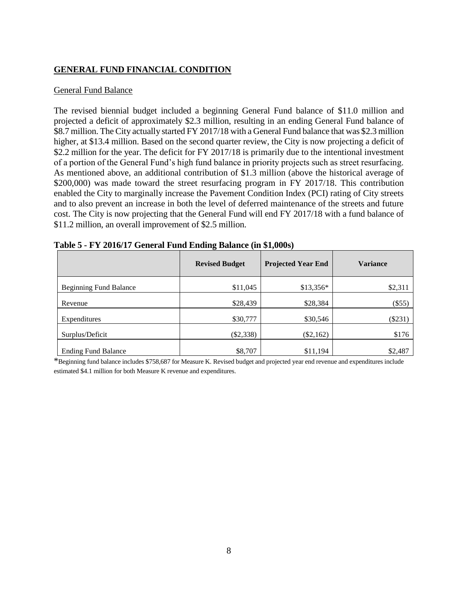## **GENERAL FUND FINANCIAL CONDITION**

#### General Fund Balance

The revised biennial budget included a beginning General Fund balance of \$11.0 million and projected a deficit of approximately \$2.3 million, resulting in an ending General Fund balance of \$8.7 million. The City actually started FY 2017/18 with a General Fund balance that was \$2.3 million higher, at \$13.4 million. Based on the second quarter review, the City is now projecting a deficit of \$2.2 million for the year. The deficit for FY 2017/18 is primarily due to the intentional investment of a portion of the General Fund's high fund balance in priority projects such as street resurfacing. As mentioned above, an additional contribution of \$1.3 million (above the historical average of \$200,000) was made toward the street resurfacing program in FY 2017/18. This contribution enabled the City to marginally increase the Pavement Condition Index (PCI) rating of City streets and to also prevent an increase in both the level of deferred maintenance of the streets and future cost. The City is now projecting that the General Fund will end FY 2017/18 with a fund balance of \$11.2 million, an overall improvement of \$2.5 million.

|                               | <b>Revised Budget</b> | <b>Projected Year End</b> | <b>Variance</b> |
|-------------------------------|-----------------------|---------------------------|-----------------|
| <b>Beginning Fund Balance</b> | \$11,045              | $$13,356*$                | \$2,311         |
| Revenue                       | \$28,439              | \$28,384                  | $(\$55)$        |
| Expenditures                  | \$30,777              | \$30,546                  | $(\$231)$       |
| Surplus/Deficit               | $(\$2,338)$           | $(\$2,162)$               | \$176           |
| <b>Ending Fund Balance</b>    | \$8,707               | \$11,194                  | \$2,487         |

**Table 5 - FY 2016/17 General Fund Ending Balance (in \$1,000s)**

\*Beginning fund balance includes \$758,687 for Measure K. Revised budget and projected year end revenue and expenditures include estimated \$4.1 million for both Measure K revenue and expenditures.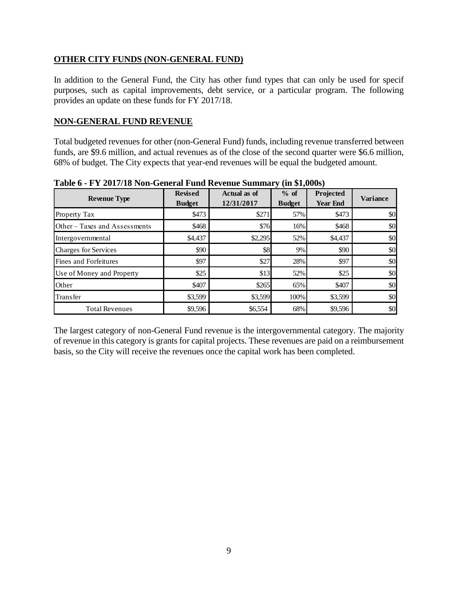#### **OTHER CITY FUNDS (NON-GENERAL FUND)**

In addition to the General Fund, the City has other fund types that can only be used for specif purposes, such as capital improvements, debt service, or a particular program. The following provides an update on these funds for FY 2017/18.

#### **NON-GENERAL FUND REVENUE**

Total budgeted revenues for other (non-General Fund) funds, including revenue transferred between funds, are \$9.6 million, and actual revenues as of the close of the second quarter were \$6.6 million, 68% of budget. The City expects that year-end revenues will be equal the budgeted amount.

| <b>Revenue Type</b>           | <b>Revised</b><br><b>Budget</b> | Actual as of<br>12/31/2017 | $%$ of<br><b>Budget</b> | Projected<br><b>Year End</b> | <b>Variance</b> |
|-------------------------------|---------------------------------|----------------------------|-------------------------|------------------------------|-----------------|
| Property Tax                  | \$473                           | \$271                      | 57%                     | \$473                        | \$0             |
| Other – Taxes and Assessments | \$468                           | \$76                       | 16%                     | \$468                        | \$0             |
| Intergovernmental             | \$4,437                         | \$2,295                    | 52%                     | \$4,437                      | \$0             |
| <b>Charges for Services</b>   | \$90                            | \$8                        | 9%                      | \$90                         | \$0             |
| <b>Fines and Forfeitures</b>  | \$97                            | \$27                       | 28%                     | \$97                         | \$0             |
| Use of Money and Property     | \$25                            | \$13                       | 52%                     | \$25                         | \$0             |
| Other                         | \$407                           | \$265                      | 65%                     | \$407                        | \$0             |
| Transfer                      | \$3,599                         | \$3,599                    | 100%                    | \$3,599                      | \$0             |
| <b>Total Revenues</b>         | \$9,596                         | \$6,554                    | 68%                     | \$9,596                      | \$0             |

**Table 6 - FY 2017/18 Non-General Fund Revenue Summary (in \$1,000s)**

The largest category of non-General Fund revenue is the intergovernmental category. The majority of revenue in this category is grants for capital projects. These revenues are paid on a reimbursement basis, so the City will receive the revenues once the capital work has been completed.